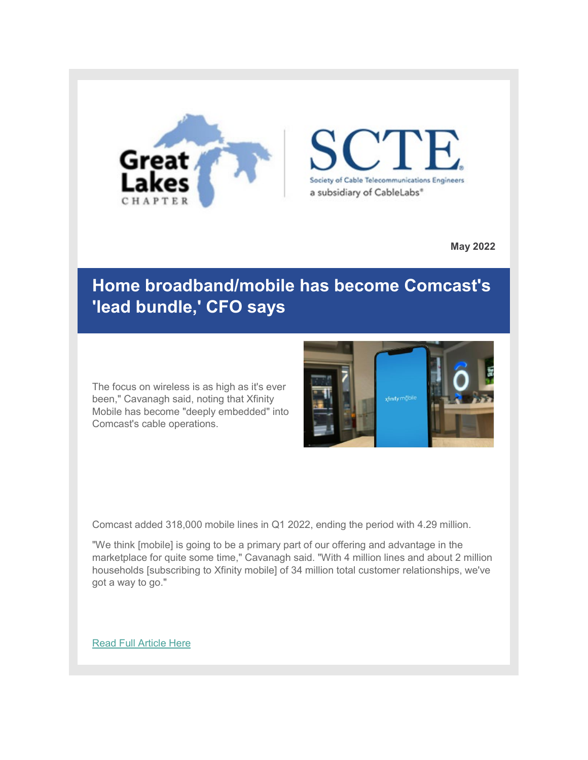

E Society of Cable Telecommunications Engineers a subsidiary of CableLabs\*

**May 2022**

#### **Home broadband/mobile has become Comcast's 'lead bundle,' CFO says**

The focus on wireless is as high as it's ever been," Cavanagh said, noting that Xfinity Mobile has become "deeply embedded" into Comcast's cable operations.



Comcast added 318,000 mobile lines in Q1 2022, ending the period with 4.29 million.

"We think [mobile] is going to be a primary part of our offering and advantage in the marketplace for quite some time," Cavanagh said. "With 4 million lines and about 2 million households [subscribing to Xfinity mobile] of 34 million total customer relationships, we've got a way to go."

[Read Full Article Here](https://urldefense.com/v3/__https:/r20.rs6.net/tn.jsp?f=001rzS-_ILkLit759VsCBZnFi_aREsmczuhHzA-5WBwzqNAgtfke6iaUmyuWlo6dYTDcPIBkA17rQcs2ieDLJz7FotZfSstTt2VSm409IS5bxVLrqv288Wna-_ub2FoqugnNA8E8jnwEVAhdvkZ_Dp2jO_7Jhzt4LClFTCz7545YM5bSUENsgVdiWmxBGJYN-9rXdg6K8I-elZ4vQj3i6ZpIo28XVdm1FajxwlHlt5MHH83JbuUabXRhX5jOZRYLjy-oRetDr_dmIVNCXYupaEQug==&c=5Sw2HzUZzA0mzkqSaMX9lncV5EgvZ9cqypvYfugDEU16z7xAyfqzXg==&ch=FlfmP40nyjuVJVQ8YyHYP0Of5YAvOqVGQiwbbm8mPKafIh4RxbKhhA==__;!!CQl3mcHX2A!D_IkYd0q3SpQ5RA1ZrTwU-Ime-0Ou38TpD71qST-k4ivAf8Fao7FooYdzxx_RKKvra8Hp-s1Nh375ytYJVxOKnc$)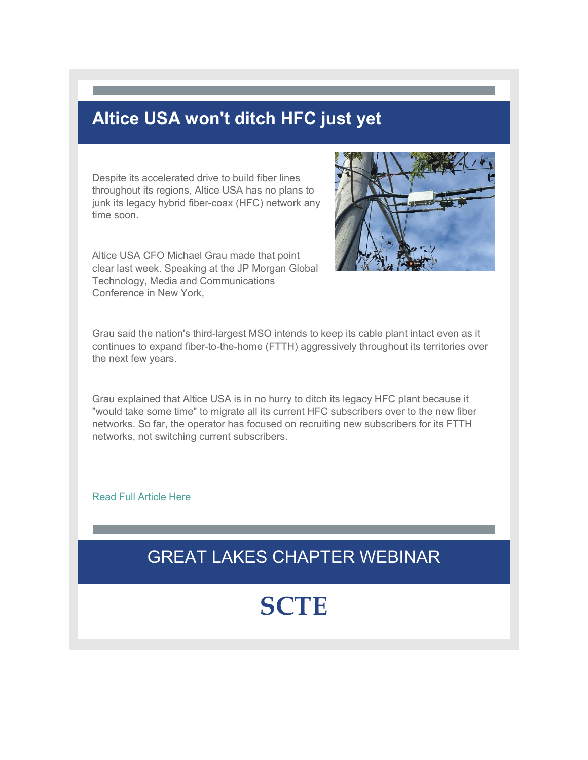#### **Altice USA won't ditch HFC just yet**

Despite its accelerated drive to build fiber lines throughout its regions, Altice USA has no plans to junk its legacy hybrid fiber-coax (HFC) network any time soon.

Altice USA CFO Michael Grau made that point clear last week. Speaking at the JP Morgan Global Technology, Media and Communications Conference in New York,



Grau said the nation's third-largest MSO intends to keep its cable plant intact even as it continues to expand fiber-to-the-home (FTTH) aggressively throughout its territories over the next few years.

Grau explained that Altice USA is in no hurry to ditch its legacy HFC plant because it "would take some time" to migrate all its current HFC subscribers over to the new fiber networks. So far, the operator has focused on recruiting new subscribers for its FTTH networks, not switching current subscribers.

[Read Full Article Here](https://urldefense.com/v3/__https:/r20.rs6.net/tn.jsp?f=001rzS-_ILkLit759VsCBZnFi_aREsmczuhHzA-5WBwzqNAgtfke6iaUmyuWlo6dYTDUegG93qdCuS8gmpdtHVBRw7QI8LqKk2v9SpIR5fLcrbcGpZP3O8kxamZZnj8TsmlJ0-pofdr1j5CnksJsAmK7Rf-zyrB2vybxdR8yAsZwzkmnU7gmBtvCZ6zn4_tQaWrgXOyhVwtTuBVxbtJZ0fDASDBkR6wuN7_b5W5kgmSZxjEH35MQ7dLgiYw6a3IVJnh&c=5Sw2HzUZzA0mzkqSaMX9lncV5EgvZ9cqypvYfugDEU16z7xAyfqzXg==&ch=FlfmP40nyjuVJVQ8YyHYP0Of5YAvOqVGQiwbbm8mPKafIh4RxbKhhA==__;!!CQl3mcHX2A!D_IkYd0q3SpQ5RA1ZrTwU-Ime-0Ou38TpD71qST-k4ivAf8Fao7FooYdzxx_RKKvra8Hp-s1Nh375ytYyEI8jqo$)

#### GREAT LAKES CHAPTER WEBINAR

## **SCTE**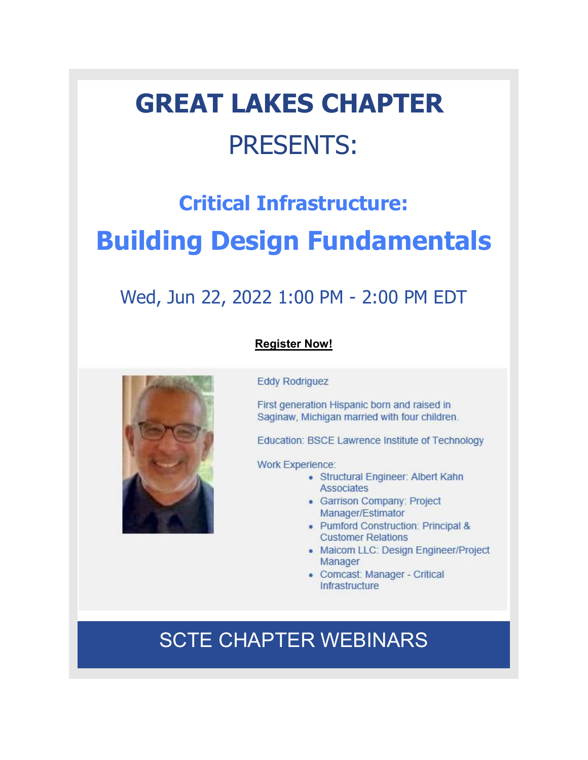# **GREAT LAKES CHAPTER** PRESENTS:

## **Critical Infrastructure: Building Design Fundamentals**

### Wed, Jun 22, 2022 1:00 PM - 2:00 PM EDT

#### **[Register Now!](https://urldefense.com/v3/__https:/r20.rs6.net/tn.jsp?f=001rzS-_ILkLit759VsCBZnFi_aREsmczuhHzA-5WBwzqNAgtfke6iaUmyuWlo6dYTDWhfhOo6N3tvvaGHmyUeu6OL7g5IVawjAX-Y5PTHuo2FqTNBjge35I0QdqIeuIj9PAhI-Wv6Eh6MqGVuVg_RA1Q-v0e1VlSoWMjEri1HulgtPmGN049pEzvYcWkVs-cLvxzqx0xjGBXFA3PZMWkLE4njrrAKj8MD_m3xsFeS9tXTqlNePcBzoahz44QaElfzd4DLi56y8rCM8D7c180XQza4aehzsKWmlyCfZMLgcESm1gTdEGasbR0prMbv2yDCeE2zBYWMTpEWs7Ixsx8rfYGDgWTecpHBVSFI1Fod4AibKxggNvD3CKru8o01oB0_Y8x_ZRF-na7VHSUy5C2HuBxrVL9MqwPMl69gb2oUeYUG7_sSSdCzix6NyDdqDF80rWvN02YFpbbje1xhO-6bQl82RqkuU0I4fhUOB9qKbAccagYBtQE7bMLBvaI8LqGKnLIf4h1If9QSm98b9G4TdRH5PdRZ0q3PVR1PiKufnMK7DRt_UexKglTcN2kEpj9-KITZ0w4kvEThluW3pt54bE9RfeEGT5DNpocAH2efdrkoPEZFbu9CZCcTGtY9xB6d2aMCXDdn3-WrLoNHTZexNeGLlry9SJCB-TB2o85sLpw1Kg5_qjF2J8Z_kTCAjlVJcy_xrjRMKH1UtODMkTbWM5Q3lPA536689XjEwC7Qecsg4NXt-LCzVX3HellGhadH8yo3czokAgefv1wmwaiGZJ6877jQPCFM-GNXgQ822ZTNQtcfCmrGvlyfnJXqMSAhpVJkvopuf9zmcgXMe3d7909rZ7vmyqIeP0HKPGHX6f2PoraYdB0jYKrj1deok6Y5bYJWrveaz0M5PF0JVSo_8Ftor_HY0ixjOP5BTEJom1_G16H_GvY3dgQ==&c=5Sw2HzUZzA0mzkqSaMX9lncV5EgvZ9cqypvYfugDEU16z7xAyfqzXg==&ch=FlfmP40nyjuVJVQ8YyHYP0Of5YAvOqVGQiwbbm8mPKafIh4RxbKhhA==__;!!CQl3mcHX2A!D_IkYd0q3SpQ5RA1ZrTwU-Ime-0Ou38TpD71qST-k4ivAf8Fao7FooYdzxx_RKKvra8Hp-s1Nh375ytYfcI7pqk$)**

#### **Eddy Rodriguez**

First generation Hispanic born and raised in Saginaw, Michigan married with four children.

Education: BSCE Lawrence Institute of Technology

**Work Experience:** 

- Structural Engineer: Albert Kahn Associates
- Garrison Company: Project Manager/Estimator
- Pumford Construction: Principal & **Customer Relations**
- Maicom LLC: Design Engineer/Project Manager
- Comcast: Manager Critical Infrastructure

### SCTE CHAPTER WEBINARS

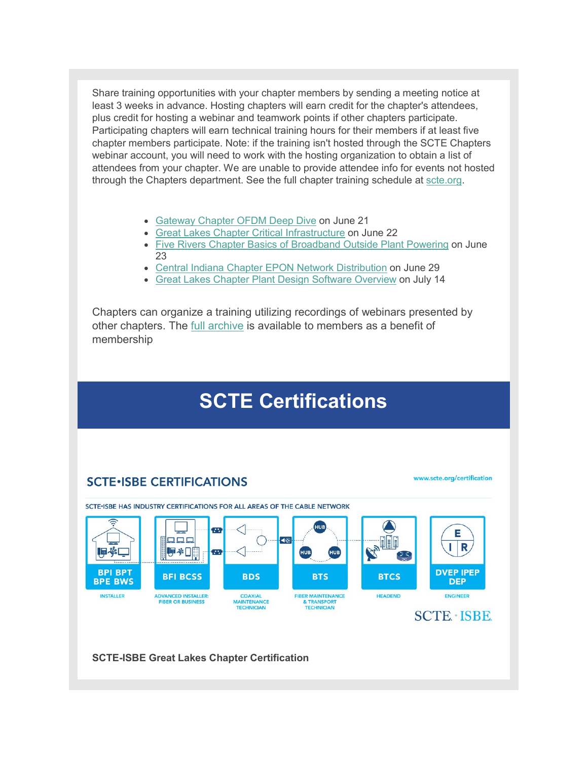Share training opportunities with your chapter members by sending a meeting notice at least 3 weeks in advance. Hosting chapters will earn credit for the chapter's attendees, plus credit for hosting a webinar and teamwork points if other chapters participate. Participating chapters will earn technical training hours for their members if at least five chapter members participate. Note: if the training isn't hosted through the SCTE Chapters webinar account, you will need to work with the hosting organization to obtain a list of attendees from your chapter. We are unable to provide attendee info for events not hosted through the Chapters department. See the full chapter training schedule at [scte.org.](https://urldefense.com/v3/__https:/r20.rs6.net/tn.jsp?f=001rzS-_ILkLit759VsCBZnFi_aREsmczuhHzA-5WBwzqNAgtfke6iaUqapc0ekBQ0YKhyiiF8sLSpswnVIr4e_lAtb5FC_VFfrzfqF0KzcVhHAonlwM8PzKSn7QB2nFwCJ-RWjkUToTKY1VBcfX811vOmmsKrcIBrYP-9S3qgIdyDUN_xAE80Xn0cBH9XbdNPAeAoSCYFAkpg4ji_BkEWVq5FCPTWY_E3sBvDwykxX2wTXr6mMUWGLPhCXHSz5CQlqbWj9Vm3Kteei9Z2kUueaskJwOJg2-pJwys-QpwClbqTeOvFfZ96nbvRJMEtFA4rigJfGWjIY2Q7ZwqUnL6vwVHRetpPU00psuDBCBLafUjoVVy0Bakw6jVZzLnnCVFTcOucB5vOU-2bxbMZMNIFjckLiHXaIbxzcrq082bPf4BU=&c=5Sw2HzUZzA0mzkqSaMX9lncV5EgvZ9cqypvYfugDEU16z7xAyfqzXg==&ch=FlfmP40nyjuVJVQ8YyHYP0Of5YAvOqVGQiwbbm8mPKafIh4RxbKhhA==__;!!CQl3mcHX2A!D_IkYd0q3SpQ5RA1ZrTwU-Ime-0Ou38TpD71qST-k4ivAf8Fao7FooYdzxx_RKKvra8Hp-s1Nh375ytYs4FzFKg$)

- [Gateway Chapter OFDM Deep Dive](https://urldefense.com/v3/__https:/r20.rs6.net/tn.jsp?f=001rzS-_ILkLit759VsCBZnFi_aREsmczuhHzA-5WBwzqNAgtfke6iaUmyuWlo6dYTDQDOestuikRL85D8_yeKBVANK3H2YSLmYEeRq9nBfsZit2klMgI5Whb0y4kUc__d00iIJYTDkYltltvTou2N5cSPwqQwnw1Ur6DivezLPvpQjn8muoN9L_a25OudIVMOj5fnmQwDQxKmGPYtg8QKrIGRUuCMQtEQihv--Lzklsl2UWsTPSsxO0l5op407BS-5ZGKgbkJBzg9VOJ5xnNh2AKbzTX1LujzbG-mr_7urueetc2NMeU1ldrjfBM56EnavAeKEXktRXcuGay5vCZKqJ4QnVoCqGT3o13HuxlhZO0AQnw0OX25eh1Qhlco5inSccDfNRMlZOvhNvbJD9TkleFVO8-8u1FSrG0wZOgwV4MocWI7eZH2RFF6fhJ4C2-eb&c=5Sw2HzUZzA0mzkqSaMX9lncV5EgvZ9cqypvYfugDEU16z7xAyfqzXg==&ch=FlfmP40nyjuVJVQ8YyHYP0Of5YAvOqVGQiwbbm8mPKafIh4RxbKhhA==__;!!CQl3mcHX2A!D_IkYd0q3SpQ5RA1ZrTwU-Ime-0Ou38TpD71qST-k4ivAf8Fao7FooYdzxx_RKKvra8Hp-s1Nh375ytYTUCgg0E$) on June 21
- [Great Lakes Chapter Critical Infrastructure](https://urldefense.com/v3/__https:/r20.rs6.net/tn.jsp?f=001rzS-_ILkLit759VsCBZnFi_aREsmczuhHzA-5WBwzqNAgtfke6iaUmyuWlo6dYTDgr6ne4Ags5FNFlGDDsd0grLYJ8gFUmXPL540NWGeWNgCgwUPh5dE7NHigYdzzhDpxlZuAeS-7jPD_Klldo9zP6fYjFD7r5MNYiZ7tt-NOalHogTpWeY0y6UWyKP4-AmrwTVl3TPJYXEhcuwTsKMGt_eAtlBI2JHxlD0RhQ93IbOqqrxeZCAMRSvz7v3eLU2YzBoCmoeqlDqVi-83MOec2WZL3DgRKmd8JWTMTXzkDTxa67GD6TdMlRiYSVI0l76R7m7anr6yo1uDTLecVeRumTRVFBgJD-JBJ_7OQRGQmVy3DKPSHEg9zJAdOXWp9YmBftIhIv64P8ZDXbD2UBdYkIbd0JEgodoo0v1GZ1SffrDPXXKl6kpLRzxVN1CXNgI8&c=5Sw2HzUZzA0mzkqSaMX9lncV5EgvZ9cqypvYfugDEU16z7xAyfqzXg==&ch=FlfmP40nyjuVJVQ8YyHYP0Of5YAvOqVGQiwbbm8mPKafIh4RxbKhhA==__;!!CQl3mcHX2A!D_IkYd0q3SpQ5RA1ZrTwU-Ime-0Ou38TpD71qST-k4ivAf8Fao7FooYdzxx_RKKvra8Hp-s1Nh375ytYTgz2OgA$) on June 22
- [Five Rivers Chapter Basics of Broadband Outside Plant Powering](https://urldefense.com/v3/__https:/r20.rs6.net/tn.jsp?f=001rzS-_ILkLit759VsCBZnFi_aREsmczuhHzA-5WBwzqNAgtfke6iaUmyuWlo6dYTDR-hfNIs42jFnUjYyWZnElHbqArbhm3J7dRTePtHL_7VCYtQF8_VX1avpfxiKBCEYv88Nawr8IoG7XhavAba4a0NO9tzexvougDrV7nyebPv_or3xg2JgLQKsEW44PojnshxG5cZbbxIRm8tc2JKtKpTjAVWRTowG7yH_uk1lUwPC1_xnO_i7N5XM69Xfbf7rMfwpJpkrxV3bkvB0nlDcsPDqiLcCkqJ3QWCew8HPWuwCh5RyYiTkvRgOToJFYXAeA-ic0LmhlpJcKSLPT0gdZ0v4SnDXhR8U7JCIRerk9K1FrjH0nlAtkbUxnDvKZYOtlMcBc7w6bhER8kjFP6dcHX2d6qssDKNyPrOKkPfjG3lpe4-PRtJPlwmnO3eX0Hca&c=5Sw2HzUZzA0mzkqSaMX9lncV5EgvZ9cqypvYfugDEU16z7xAyfqzXg==&ch=FlfmP40nyjuVJVQ8YyHYP0Of5YAvOqVGQiwbbm8mPKafIh4RxbKhhA==__;!!CQl3mcHX2A!D_IkYd0q3SpQ5RA1ZrTwU-Ime-0Ou38TpD71qST-k4ivAf8Fao7FooYdzxx_RKKvra8Hp-s1Nh375ytYH3-2kho$) on June 23
- [Central Indiana Chapter EPON Network Distribution](https://urldefense.com/v3/__https:/r20.rs6.net/tn.jsp?f=001rzS-_ILkLit759VsCBZnFi_aREsmczuhHzA-5WBwzqNAgtfke6iaUmyuWlo6dYTDAAtCNg9kywOGIp98FCOCyIhTfKYwdvA05TYyqwSGzH2leNHP1UveRBQl_QnkWy27unLV0HB7AQKmKj3GBFogcYAFxFnDY0ehGwqzZpXOMpRjLy4Df0kwG1hAGI_uXR68576Ieh9RriF-00QY2p_u1DBtrzAcSmH3EmhPPOlqr1r7dkFQOoYGPsU7ljnQU54zI_t-osgQv9UdwjMwCANLMAyUUK7ei3wwu2gVQ4TBmuutgwlkkFhFI1ww04yElvzh7Sf7rpsk7gNL_IdnQ_GSgco99NJiPUmK6U9GWdTsSzlml804G6DVJnCXs5jMyRQ1iwVojN0Lx6k9LZxp5dkE_sjPGDO1xMXPR06usdQG_YyIwr2CwBC8ITMPERnqkJOT&c=5Sw2HzUZzA0mzkqSaMX9lncV5EgvZ9cqypvYfugDEU16z7xAyfqzXg==&ch=FlfmP40nyjuVJVQ8YyHYP0Of5YAvOqVGQiwbbm8mPKafIh4RxbKhhA==__;!!CQl3mcHX2A!D_IkYd0q3SpQ5RA1ZrTwU-Ime-0Ou38TpD71qST-k4ivAf8Fao7FooYdzxx_RKKvra8Hp-s1Nh375ytYQAPo-tI$) on June 29
- [Great Lakes Chapter Plant Design Software Overview](https://urldefense.com/v3/__https:/r20.rs6.net/tn.jsp?f=001rzS-_ILkLit759VsCBZnFi_aREsmczuhHzA-5WBwzqNAgtfke6iaUmyuWlo6dYTDPbAjVYsQvx6yVrx-5RGYqmAwp1Ew8rbe5E3iTNp9VrjmpY0PZOEmGOtjjkw0qjIOsEnrGqqogcCcC6wYmmBaknc8Dc30PZBO6n5Jw5Dw-EkwUTP_BLiM15H_OQNPM6KfqrxtFkkptUr5h8_ozQju0zmV9ARqptfj1u-bqF_6VWblyqyDYuB9GKjcK8fwcVag9ayI_N-A5LS4-ZHezCZmNlR8pm8QsbMV6BVa2xxRZEtoyCC6nGCnu1DRrWqJJZZHkX4HTq9PA2TJwbuU6ECbc4XHVpuImJzRR3K8iEausI4VeYWZuVMXXmImysOscxWAe3Cn3xsfuKBdxNVkLApSAqLDeqygok-Nuhpyhq9lpRylHJXZ-WJZUn3SPaaakKdp&c=5Sw2HzUZzA0mzkqSaMX9lncV5EgvZ9cqypvYfugDEU16z7xAyfqzXg==&ch=FlfmP40nyjuVJVQ8YyHYP0Of5YAvOqVGQiwbbm8mPKafIh4RxbKhhA==__;!!CQl3mcHX2A!D_IkYd0q3SpQ5RA1ZrTwU-Ime-0Ou38TpD71qST-k4ivAf8Fao7FooYdzxx_RKKvra8Hp-s1Nh375ytYfHx4nTU$) on July 14

Chapters can organize a training utilizing recordings of webinars presented by other chapters. The [full archive](https://urldefense.com/v3/__https:/r20.rs6.net/tn.jsp?f=001rzS-_ILkLit759VsCBZnFi_aREsmczuhHzA-5WBwzqNAgtfke6iaUqapc0ekBQ0YP-g8ClEKyTsVj_BCVDNqweMopqbTpMvf8ZZNi5XCF2GAisdjoQqNvt6GtjBoCL6_vxgTmdxU4P62QvUiQkr5e9wgQ5sQcnGi8-ffugywcJoeS6rc7JEfuslgpOj-DFL_ql0XxNRDtf6oVPOZ3JySs8jPJ6S9G2Ek5U4DSoiaLwhPk79xyE4CDIYHCoY0fX8mUw9IlGhvEEuTEgY-gpBw3HvD9-T4rnzzzm4LpidxG6n9uqO0OeEeknfDaz0tQohZlFobkJ-Ns1WroXra6laPIZupbOSBSB727CIClT154KsK0ifD86R3Hs3S39mpTj067PvNpqfMejI-brp-TKK4Pg4DuXUwZyxiqGVBxz56no0=&c=5Sw2HzUZzA0mzkqSaMX9lncV5EgvZ9cqypvYfugDEU16z7xAyfqzXg==&ch=FlfmP40nyjuVJVQ8YyHYP0Of5YAvOqVGQiwbbm8mPKafIh4RxbKhhA==__;!!CQl3mcHX2A!D_IkYd0q3SpQ5RA1ZrTwU-Ime-0Ou38TpD71qST-k4ivAf8Fao7FooYdzxx_RKKvra8Hp-s1Nh375ytYkOqAzc8$) is available to members as a benefit of membership

## **SCTE Certifications**

#### **SCTE·ISBE CERTIFICATIONS**

www.scte.org/certification



**SCTE-ISBE Great Lakes Chapter Certification**